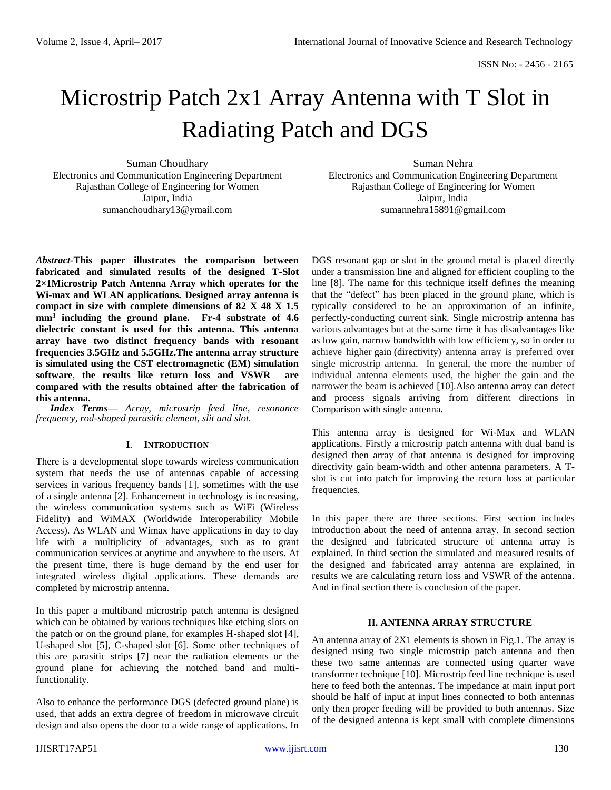# Microstrip Patch 2x1 Array Antenna with T Slot in Radiating Patch and DGS

Suman Choudhary Electronics and Communication Engineering Department Rajasthan College of Engineering for Women Jaipur, India [sumanchoudhary13@ymail.com](mailto:sumanchoudhary13@ymail.com)

*Abstract***-This paper illustrates the comparison between fabricated and simulated results of the designed T-Slot 2×1Microstrip Patch Antenna Array which operates for the Wi-max and WLAN applications. Designed array antenna is compact in size with complete dimensions of 82 X 48 X 1.5 mm<sup>3</sup> including the ground plane. Fr-4 substrate of 4.6 dielectric constant is used for this antenna. This antenna array have two distinct frequency bands with resonant frequencies 3.5GHz and 5.5GHz.The antenna array structure is simulated using the CST electromagnetic (EM) simulation software**, **the results like return loss and VSWR are compared with the results obtained after the fabrication of this antenna.** 

*Index Terms— Array, microstrip feed line, resonance frequency, rod-shaped parasitic element, slit and slot.*

## **I**. **INTRODUCTION**

There is a developmental slope towards wireless communication system that needs the use of antennas capable of accessing services in various frequency bands [1], sometimes with the use of a single antenna [2]. Enhancement in technology is increasing, the wireless communication systems such as WiFi (Wireless Fidelity) and WiMAX (Worldwide Interoperability Mobile Access). As WLAN and Wimax have applications in day to day life with a multiplicity of advantages, such as to grant communication services at anytime and anywhere to the users. At the present time, there is huge demand by the end user for integrated wireless digital applications. These demands are completed by microstrip antenna.

In this paper a multiband microstrip patch antenna is designed which can be obtained by various techniques like etching slots on the patch or on the ground plane, for examples H-shaped slot [4], U-shaped slot [5], C-shaped slot [6]. Some other techniques of this are parasitic strips [7] near the radiation elements or the ground plane for achieving the notched band and multifunctionality.

Also to enhance the performance DGS (defected ground plane) is used, that adds an extra degree of freedom in microwave circuit design and also opens the door to a wide range of applications. In

Suman Nehra Electronics and Communication Engineering Department Rajasthan College of Engineering for Women Jaipur, India [sumannehra15891@gmail.com](mailto:sumannehra15891@gmail.com)

DGS resonant gap or slot in the ground metal is placed directly under a transmission line and aligned for efficient coupling to the line [8]. The name for this technique itself defines the meaning that the "defect" has been placed in the ground plane, which is typically considered to be an approximation of an infinite, perfectly-conducting current sink. Single microstrip antenna has various advantages but at the same time it has disadvantages like as low gain, narrow bandwidth with low efficiency, so in order to achieve higher [gain](https://en.wikipedia.org/wiki/Antenna_gain) [\(directivity\)](https://en.wikipedia.org/wiki/Directivity) antenna array is preferred over single microstrip antenna. In general, the more the number of individual antenna elements used, the higher the gain and the narrower the beam is achieved [10].Also antenna array can detect and process signals arriving from different directions in Comparison with single antenna.

This antenna array is designed for Wi-Max and WLAN applications. Firstly a microstrip patch antenna with dual band is designed then array of that antenna is designed for improving directivity gain beam-width and other antenna parameters. A Tslot is cut into patch for improving the return loss at particular frequencies.

In this paper there are three sections. First section includes introduction about the need of antenna array. In second section the designed and fabricated structure of antenna array is explained. In third section the simulated and measured results of the designed and fabricated array antenna are explained, in results we are calculating return loss and VSWR of the antenna. And in final section there is conclusion of the paper.

## **II. ANTENNA ARRAY STRUCTURE**

An antenna array of 2X1 elements is shown in Fig.1. The array is designed using two single microstrip patch antenna and then these two same antennas are connected using quarter wave transformer technique [10]. Microstrip feed line technique is used here to feed both the antennas. The impedance at main input port should be half of input at input lines connected to both antennas only then proper feeding will be provided to both antennas. Size of the designed antenna is kept small with complete dimensions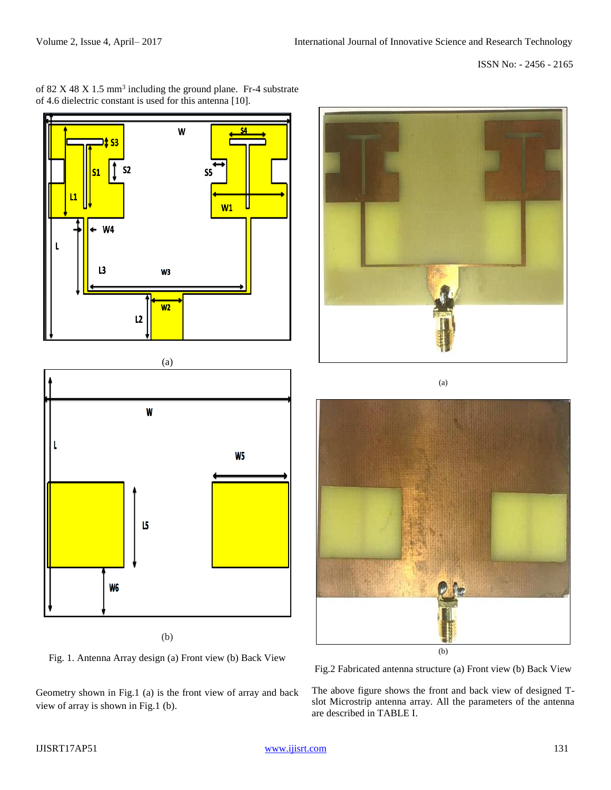ISSN No: - 2456 - 2165



(a) W L W<sub>5</sub> 15 W<sub>6</sub>

(b)

Fig. 1. Antenna Array design (a) Front view (b) Back View

Geometry shown in Fig.1 (a) is the front view of array and back view of array is shown in Fig.1 (b).



(a)



Fig.2 Fabricated antenna structure (a) Front view (b) Back View

The above figure shows the front and back view of designed Tslot Microstrip antenna array. All the parameters of the antenna are described in TABLE I.

# of  $82 \text{ X } 48 \text{ X } 1.5 \text{ mm}^3$  including the ground plane. Fr-4 substrate of 4.6 dielectric constant is used for this antenna [10].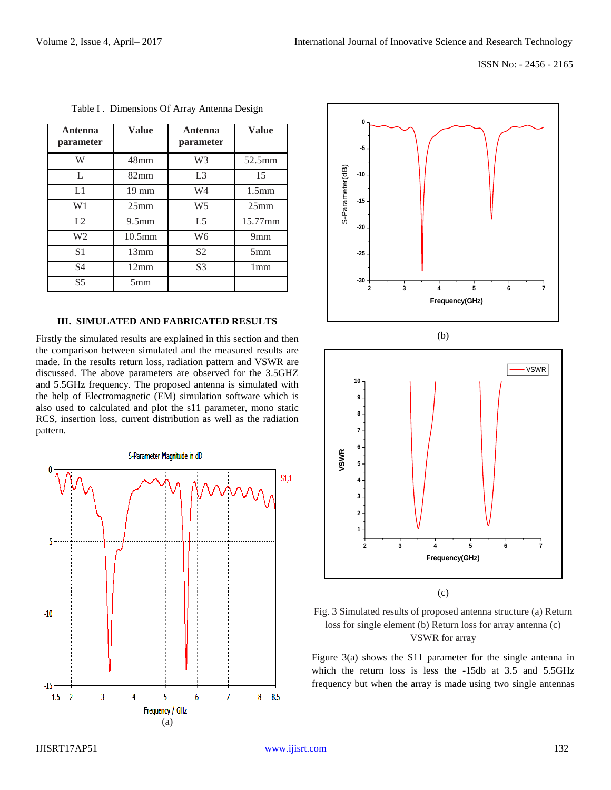| Antenna<br>parameter | <b>Value</b>      | Antenna<br>parameter | <b>Value</b>      |
|----------------------|-------------------|----------------------|-------------------|
| W                    | 48 <sub>mm</sub>  | W <sub>3</sub>       | 52.5mm            |
| L                    | $82 \text{mm}$    | L <sub>3</sub>       | 15                |
| L1                   | $19 \text{ mm}$   | W4                   | 1.5 <sub>mm</sub> |
| W <sub>1</sub>       | 25 <sub>mm</sub>  | W <sub>5</sub>       | 25 <sub>mm</sub>  |
| L2                   | 9.5 <sub>mm</sub> | L <sub>5</sub>       | 15.77mm           |
| W <sub>2</sub>       | $10.5$ mm         | W <sub>6</sub>       | 9 <sub>mm</sub>   |
| S <sub>1</sub>       | 13mm              | S <sub>2</sub>       | 5 <sub>mm</sub>   |
| S <sub>4</sub>       | 12mm              | S <sub>3</sub>       | 1 <sub>mm</sub>   |
| S <sub>5</sub>       | 5 <sub>mm</sub>   |                      |                   |

Table I . Dimensions Of Array Antenna Design

#### **III. SIMULATED AND FABRICATED RESULTS**

Firstly the simulated results are explained in this section and then the comparison between simulated and the measured results are made. In the results return loss, radiation pattern and VSWR are discussed. The above parameters are observed for the 3.5GHZ and 5.5GHz frequency. The proposed antenna is simulated with the help of Electromagnetic (EM) simulation software which is also used to calculated and plot the s11 parameter, mono static RCS, insertion loss, current distribution as well as the radiation pattern.









(c)

Figure 3(a) shows the S11 parameter for the single antenna in which the return loss is less the -15db at 3.5 and 5.5GHz frequency but when the array is made using two single antennas